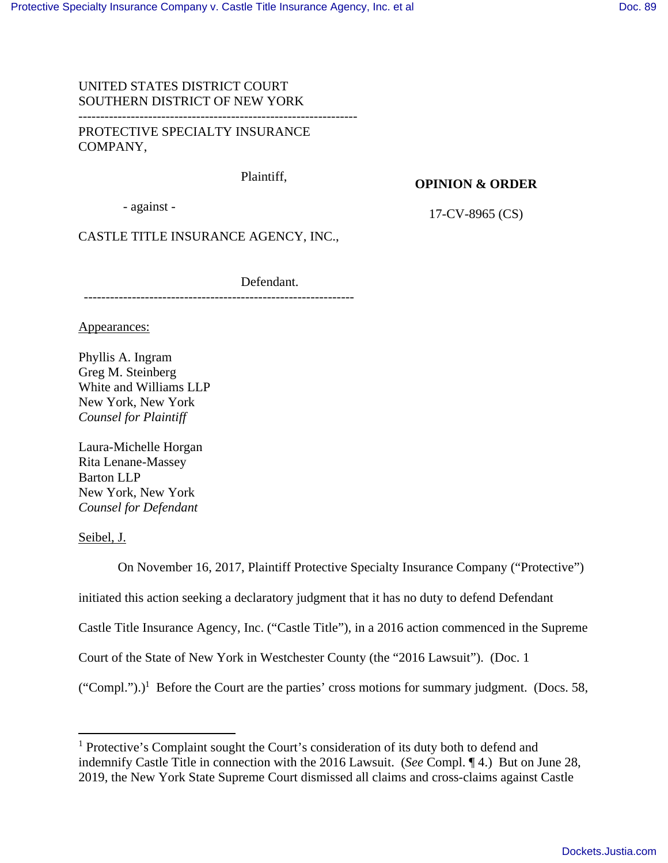## UNITED STATES DISTRICT COURT SOUTHERN DISTRICT OF NEW YORK

PROTECTIVE SPECIALTY INSURANCE COMPANY,

Plaintiff,

### **OPINION & ORDER**

- against -

17-CV-8965 (CS)

CASTLE TITLE INSURANCE AGENCY, INC.,

--------------------------------------------------------------

Defendant.

Appearances:

Phyllis A. Ingram Greg M. Steinberg White and Williams LLP New York, New York *Counsel for Plaintiff*

Laura-Michelle Horgan Rita Lenane-Massey Barton LLP New York, New York *Counsel for Defendant* 

Seibel, J.

 On November 16, 2017, Plaintiff Protective Specialty Insurance Company ("Protective") initiated this action seeking a declaratory judgment that it has no duty to defend Defendant Castle Title Insurance Agency, Inc. ("Castle Title"), in a 2016 action commenced in the Supreme Court of the State of New York in Westchester County (the "2016 Lawsuit"). (Doc. 1  $("Compl.")$ <sup>1</sup> Before the Court are the parties' cross motions for summary judgment. (Docs. 58,

<sup>&</sup>lt;sup>1</sup> Protective's Complaint sought the Court's consideration of its duty both to defend and indemnify Castle Title in connection with the 2016 Lawsuit. (*See* Compl. ¶ 4.) But on June 28, 2019, the New York State Supreme Court dismissed all claims and cross-claims against Castle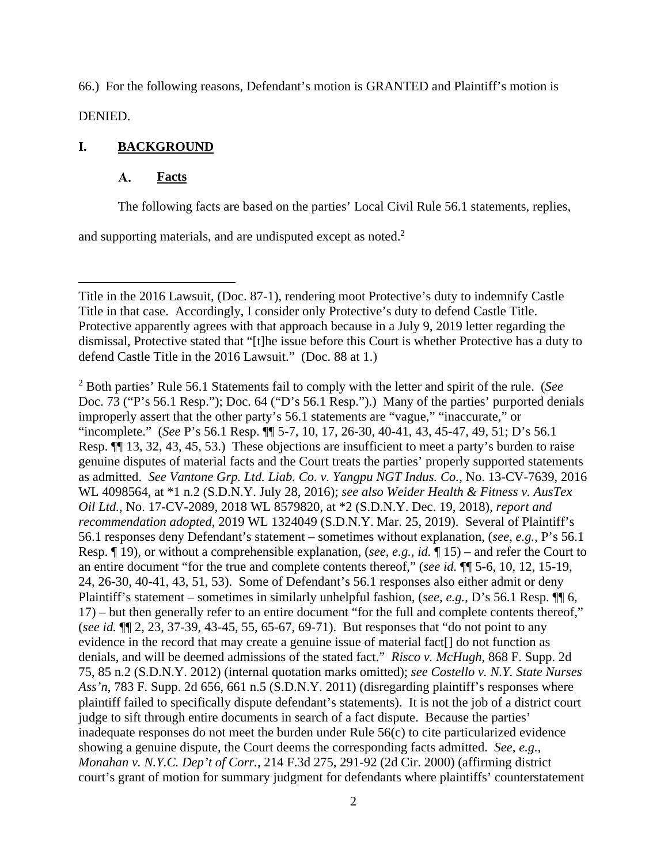66.) For the following reasons, Defendant's motion is GRANTED and Plaintiff's motion is DENIED.

# **I. BACKGROUND**

#### **A. Facts**

The following facts are based on the parties' Local Civil Rule 56.1 statements, replies,

and supporting materials, and are undisputed except as noted.<sup>2</sup>

2 Both parties' Rule 56.1 Statements fail to comply with the letter and spirit of the rule. (*See*  Doc. 73 ("P's 56.1 Resp."); Doc. 64 ("D's 56.1 Resp.").) Many of the parties' purported denials improperly assert that the other party's 56.1 statements are "vague," "inaccurate," or "incomplete." (*See* P's 56.1 Resp. ¶¶ 5-7, 10, 17, 26-30, 40-41, 43, 45-47, 49, 51; D's 56.1 Resp. ¶¶ 13, 32, 43, 45, 53.) These objections are insufficient to meet a party's burden to raise genuine disputes of material facts and the Court treats the parties' properly supported statements as admitted. *See Vantone Grp. Ltd. Liab. Co. v. Yangpu NGT Indus. Co.*, No. 13-CV-7639, 2016 WL 4098564, at \*1 n.2 (S.D.N.Y. July 28, 2016); *see also Weider Health & Fitness v. AusTex Oil Ltd.*, No. 17-CV-2089, 2018 WL 8579820, at \*2 (S.D.N.Y. Dec. 19, 2018), *report and recommendation adopted*, 2019 WL 1324049 (S.D.N.Y. Mar. 25, 2019). Several of Plaintiff's 56.1 responses deny Defendant's statement – sometimes without explanation, (*see, e.g.*, P's 56.1 Resp. ¶ 19), or without a comprehensible explanation, (*see, e.g.*, *id.* ¶ 15) – and refer the Court to an entire document "for the true and complete contents thereof," (*see id.* ¶¶ 5-6, 10, 12, 15-19, 24, 26-30, 40-41, 43, 51, 53). Some of Defendant's 56.1 responses also either admit or deny Plaintiff's statement – sometimes in similarly unhelpful fashion, (*see, e.g.*, D's 56.1 Resp. ¶¶ 6, 17) – but then generally refer to an entire document "for the full and complete contents thereof," (*see id.* ¶¶ 2, 23, 37-39, 43-45, 55, 65-67, 69-71). But responses that "do not point to any evidence in the record that may create a genuine issue of material fact<sup>[]</sup> do not function as denials, and will be deemed admissions of the stated fact." *Risco v. McHugh*, 868 F. Supp. 2d 75, 85 n.2 (S.D.N.Y. 2012) (internal quotation marks omitted); *see Costello v. N.Y. State Nurses Ass'n*, 783 F. Supp. 2d 656, 661 n.5 (S.D.N.Y. 2011) (disregarding plaintiff's responses where plaintiff failed to specifically dispute defendant's statements). It is not the job of a district court judge to sift through entire documents in search of a fact dispute. Because the parties' inadequate responses do not meet the burden under Rule 56(c) to cite particularized evidence showing a genuine dispute, the Court deems the corresponding facts admitted. *See, e.g.*, *Monahan v. N.Y.C. Dep't of Corr.*, 214 F.3d 275, 291-92 (2d Cir. 2000) (affirming district court's grant of motion for summary judgment for defendants where plaintiffs' counterstatement

Title in the 2016 Lawsuit, (Doc. 87-1), rendering moot Protective's duty to indemnify Castle Title in that case. Accordingly, I consider only Protective's duty to defend Castle Title. Protective apparently agrees with that approach because in a July 9, 2019 letter regarding the dismissal, Protective stated that "[t]he issue before this Court is whether Protective has a duty to defend Castle Title in the 2016 Lawsuit." (Doc. 88 at 1.)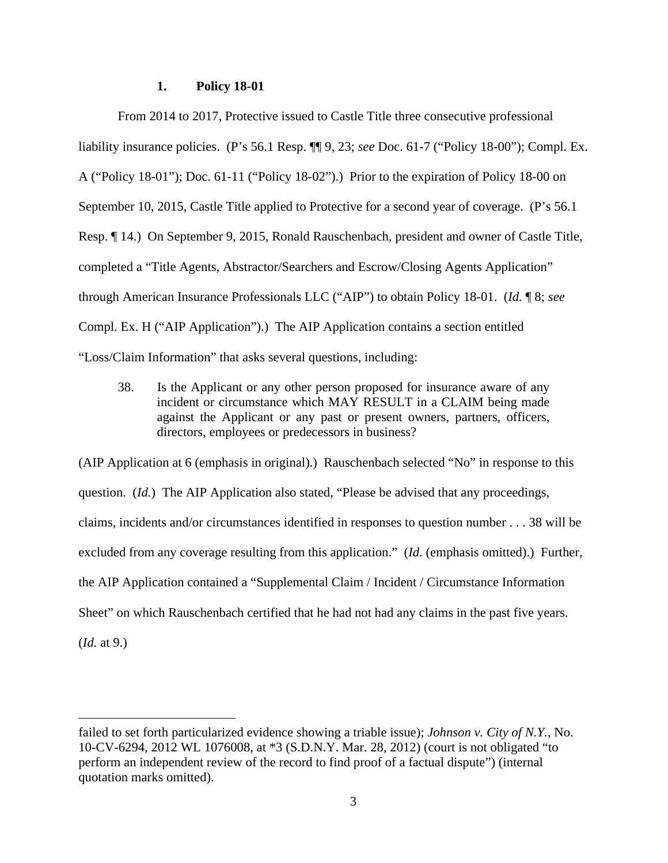## **1. Policy 18-01**

From 2014 to 2017, Protective issued to Castle Title three consecutive professional liability insurance policies. (P's 56.1 Resp. ¶¶ 9, 23; *see* Doc. 61-7 ("Policy 18-00"); Compl. Ex. A ("Policy 18-01"); Doc. 61-11 ("Policy 18-02").) Prior to the expiration of Policy 18-00 on September 10, 2015, Castle Title applied to Protective for a second year of coverage. (P's 56.1 Resp. ¶ 14.) On September 9, 2015, Ronald Rauschenbach, president and owner of Castle Title, completed a "Title Agents, Abstractor/Searchers and Escrow/Closing Agents Application" through American Insurance Professionals LLC ("AIP") to obtain Policy 18-01. (*Id.* ¶ 8; *see*  Compl. Ex. H ("AIP Application").) The AIP Application contains a section entitled "Loss/Claim Information" that asks several questions, including:

38. Is the Applicant or any other person proposed for insurance aware of any incident or circumstance which MAY RESULT in a CLAIM being made against the Applicant or any past or present owners, partners, officers, directors, employees or predecessors in business?

(AIP Application at 6 (emphasis in original).) Rauschenbach selected "No" in response to this question. (*Id.*) The AIP Application also stated, "Please be advised that any proceedings, claims, incidents and/or circumstances identified in responses to question number . . . 38 will be excluded from any coverage resulting from this application." (*Id.* (emphasis omitted).) Further, the AIP Application contained a "Supplemental Claim / Incident / Circumstance Information Sheet" on which Rauschenbach certified that he had not had any claims in the past five years. (*Id.* at 9.)

failed to set forth particularized evidence showing a triable issue); *Johnson v. City of N.Y.*, No. 10-CV-6294, 2012 WL 1076008, at \*3 (S.D.N.Y. Mar. 28, 2012) (court is not obligated "to perform an independent review of the record to find proof of a factual dispute") (internal quotation marks omitted).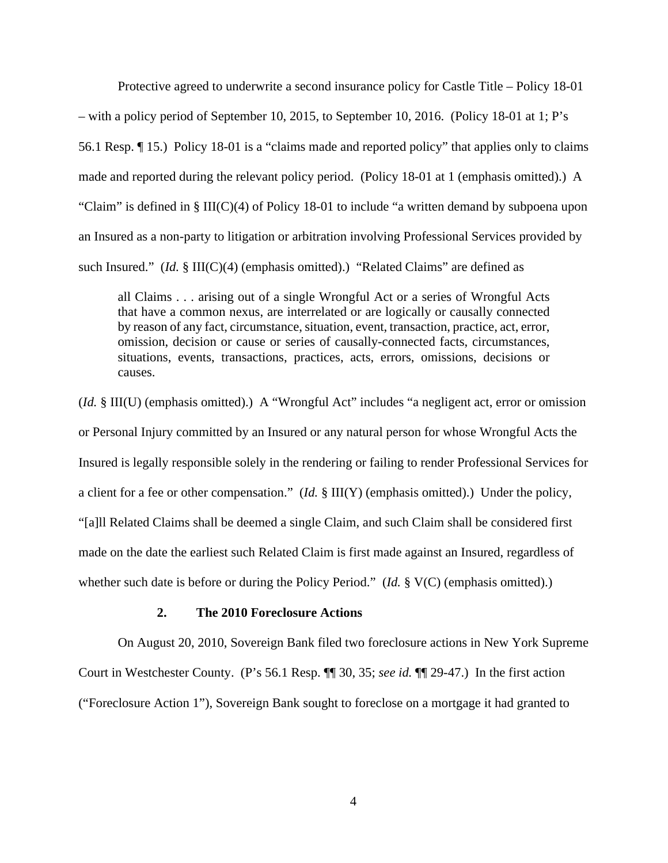Protective agreed to underwrite a second insurance policy for Castle Title – Policy 18-01 – with a policy period of September 10, 2015, to September 10, 2016. (Policy 18-01 at 1; P's 56.1 Resp. ¶ 15.) Policy 18-01 is a "claims made and reported policy" that applies only to claims made and reported during the relevant policy period. (Policy 18-01 at 1 (emphasis omitted).) A "Claim" is defined in § III(C)(4) of Policy 18-01 to include "a written demand by subpoena upon an Insured as a non-party to litigation or arbitration involving Professional Services provided by such Insured."  $(Id. \S \III(C)(4)$  (emphasis omitted).) "Related Claims" are defined as

all Claims . . . arising out of a single Wrongful Act or a series of Wrongful Acts that have a common nexus, are interrelated or are logically or causally connected by reason of any fact, circumstance, situation, event, transaction, practice, act, error, omission, decision or cause or series of causally-connected facts, circumstances, situations, events, transactions, practices, acts, errors, omissions, decisions or causes.

(*Id.* § III(U) (emphasis omitted).) A "Wrongful Act" includes "a negligent act, error or omission or Personal Injury committed by an Insured or any natural person for whose Wrongful Acts the Insured is legally responsible solely in the rendering or failing to render Professional Services for a client for a fee or other compensation." (*Id.* § III(Y) (emphasis omitted).) Under the policy, "[a]ll Related Claims shall be deemed a single Claim, and such Claim shall be considered first made on the date the earliest such Related Claim is first made against an Insured, regardless of whether such date is before or during the Policy Period." (*Id.* § V(C) (emphasis omitted).)

## **2. The 2010 Foreclosure Actions**

On August 20, 2010, Sovereign Bank filed two foreclosure actions in New York Supreme Court in Westchester County. (P's 56.1 Resp. ¶¶ 30, 35; *see id.* ¶¶ 29-47.) In the first action ("Foreclosure Action 1"), Sovereign Bank sought to foreclose on a mortgage it had granted to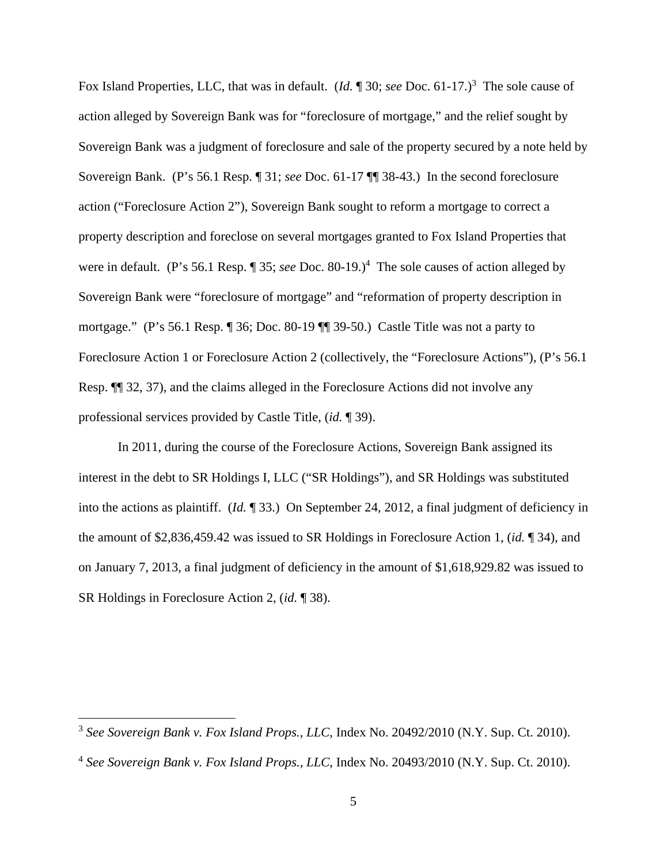Fox Island Properties, LLC, that was in default. (*Id.* 130; *see* Doc. 61-17.)<sup>3</sup> The sole cause of action alleged by Sovereign Bank was for "foreclosure of mortgage," and the relief sought by Sovereign Bank was a judgment of foreclosure and sale of the property secured by a note held by Sovereign Bank. (P's 56.1 Resp. ¶ 31; *see* Doc. 61-17 ¶¶ 38-43.) In the second foreclosure action ("Foreclosure Action 2"), Sovereign Bank sought to reform a mortgage to correct a property description and foreclose on several mortgages granted to Fox Island Properties that were in default. (P's 56.1 Resp. 1 35; *see* Doc. 80-19.)<sup>4</sup> The sole causes of action alleged by Sovereign Bank were "foreclosure of mortgage" and "reformation of property description in mortgage." (P's 56.1 Resp. ¶ 36; Doc. 80-19 ¶¶ 39-50.) Castle Title was not a party to Foreclosure Action 1 or Foreclosure Action 2 (collectively, the "Foreclosure Actions"), (P's 56.1 Resp. ¶¶ 32, 37), and the claims alleged in the Foreclosure Actions did not involve any professional services provided by Castle Title, (*id.* ¶ 39).

In 2011, during the course of the Foreclosure Actions, Sovereign Bank assigned its interest in the debt to SR Holdings I, LLC ("SR Holdings"), and SR Holdings was substituted into the actions as plaintiff. (*Id.* ¶ 33.) On September 24, 2012, a final judgment of deficiency in the amount of \$2,836,459.42 was issued to SR Holdings in Foreclosure Action 1, (*id.* ¶ 34), and on January 7, 2013, a final judgment of deficiency in the amount of \$1,618,929.82 was issued to SR Holdings in Foreclosure Action 2, (*id.* ¶ 38).

<sup>3</sup> *See Sovereign Bank v. Fox Island Props., LLC*, Index No. 20492/2010 (N.Y. Sup. Ct. 2010).

<sup>4</sup> *See Sovereign Bank v. Fox Island Props., LLC*, Index No. 20493/2010 (N.Y. Sup. Ct. 2010).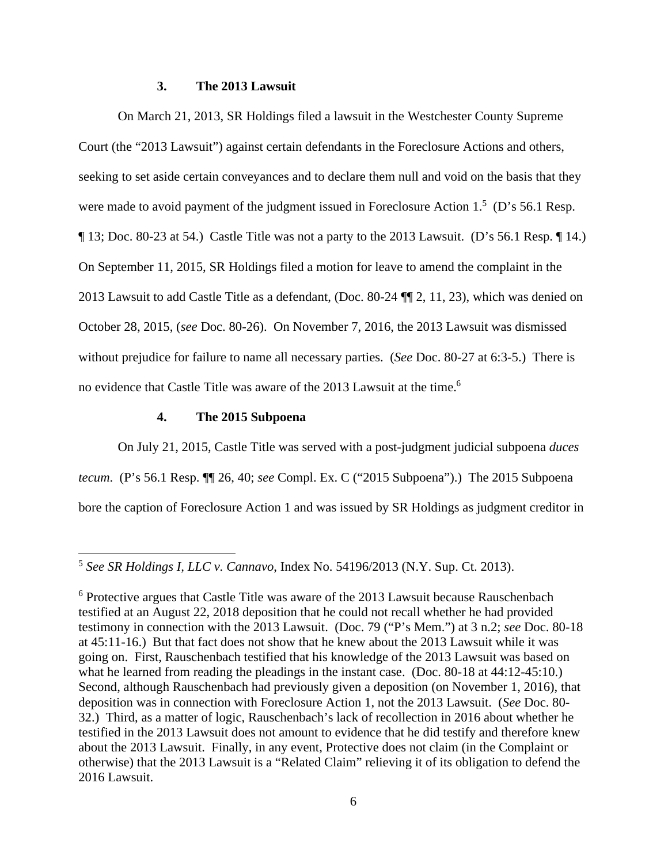## **3. The 2013 Lawsuit**

 On March 21, 2013, SR Holdings filed a lawsuit in the Westchester County Supreme Court (the "2013 Lawsuit") against certain defendants in the Foreclosure Actions and others, seeking to set aside certain conveyances and to declare them null and void on the basis that they were made to avoid payment of the judgment issued in Foreclosure Action  $1<sup>5</sup>$  (D's 56.1 Resp. ¶ 13; Doc. 80-23 at 54.) Castle Title was not a party to the 2013 Lawsuit. (D's 56.1 Resp. ¶ 14.) On September 11, 2015, SR Holdings filed a motion for leave to amend the complaint in the 2013 Lawsuit to add Castle Title as a defendant, (Doc. 80-24 ¶¶ 2, 11, 23), which was denied on October 28, 2015, (*see* Doc. 80-26). On November 7, 2016, the 2013 Lawsuit was dismissed without prejudice for failure to name all necessary parties. (*See* Doc. 80-27 at 6:3-5.) There is no evidence that Castle Title was aware of the 2013 Lawsuit at the time.<sup>6</sup>

### **4. The 2015 Subpoena**

On July 21, 2015, Castle Title was served with a post-judgment judicial subpoena *duces tecum*. (P's 56.1 Resp. ¶¶ 26, 40; *see* Compl. Ex. C ("2015 Subpoena").) The 2015 Subpoena bore the caption of Foreclosure Action 1 and was issued by SR Holdings as judgment creditor in

<sup>5</sup> *See SR Holdings I, LLC v. Cannavo*, Index No. 54196/2013 (N.Y. Sup. Ct. 2013).

<sup>&</sup>lt;sup>6</sup> Protective argues that Castle Title was aware of the 2013 Lawsuit because Rauschenbach testified at an August 22, 2018 deposition that he could not recall whether he had provided testimony in connection with the 2013 Lawsuit. (Doc. 79 ("P's Mem.") at 3 n.2; *see* Doc. 80-18 at 45:11-16.) But that fact does not show that he knew about the 2013 Lawsuit while it was going on. First, Rauschenbach testified that his knowledge of the 2013 Lawsuit was based on what he learned from reading the pleadings in the instant case. (Doc. 80-18 at 44:12-45:10.) Second, although Rauschenbach had previously given a deposition (on November 1, 2016), that deposition was in connection with Foreclosure Action 1, not the 2013 Lawsuit. (*See* Doc. 80- 32.) Third, as a matter of logic, Rauschenbach's lack of recollection in 2016 about whether he testified in the 2013 Lawsuit does not amount to evidence that he did testify and therefore knew about the 2013 Lawsuit. Finally, in any event, Protective does not claim (in the Complaint or otherwise) that the 2013 Lawsuit is a "Related Claim" relieving it of its obligation to defend the 2016 Lawsuit.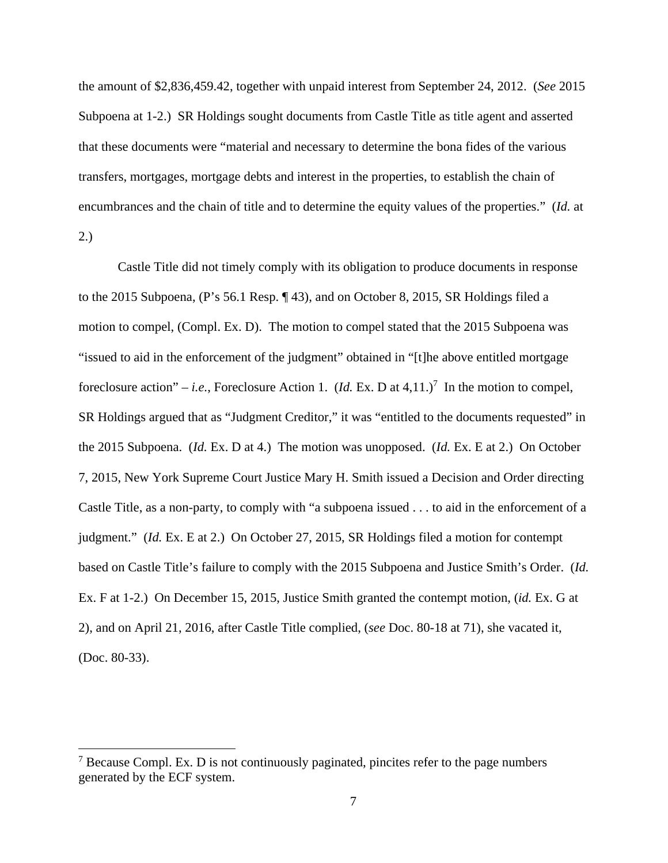the amount of \$2,836,459.42, together with unpaid interest from September 24, 2012. (*See* 2015 Subpoena at 1-2.) SR Holdings sought documents from Castle Title as title agent and asserted that these documents were "material and necessary to determine the bona fides of the various transfers, mortgages, mortgage debts and interest in the properties, to establish the chain of encumbrances and the chain of title and to determine the equity values of the properties." (*Id.* at 2.)

 Castle Title did not timely comply with its obligation to produce documents in response to the 2015 Subpoena, (P's 56.1 Resp. ¶ 43), and on October 8, 2015, SR Holdings filed a motion to compel, (Compl. Ex. D). The motion to compel stated that the 2015 Subpoena was "issued to aid in the enforcement of the judgment" obtained in "[t]he above entitled mortgage foreclosure action" – *i.e.*, Foreclosure Action 1.  $(Id. Ex. D at 4,11.)^7$  In the motion to compel, SR Holdings argued that as "Judgment Creditor," it was "entitled to the documents requested" in the 2015 Subpoena. (*Id.* Ex. D at 4.) The motion was unopposed. (*Id.* Ex. E at 2.) On October 7, 2015, New York Supreme Court Justice Mary H. Smith issued a Decision and Order directing Castle Title, as a non-party, to comply with "a subpoena issued . . . to aid in the enforcement of a judgment." (*Id.* Ex. E at 2.) On October 27, 2015, SR Holdings filed a motion for contempt based on Castle Title's failure to comply with the 2015 Subpoena and Justice Smith's Order. (*Id.* Ex. F at 1-2.) On December 15, 2015, Justice Smith granted the contempt motion, (*id.* Ex. G at 2), and on April 21, 2016, after Castle Title complied, (*see* Doc. 80-18 at 71), she vacated it, (Doc. 80-33).

 $7$  Because Compl. Ex. D is not continuously paginated, pincites refer to the page numbers generated by the ECF system.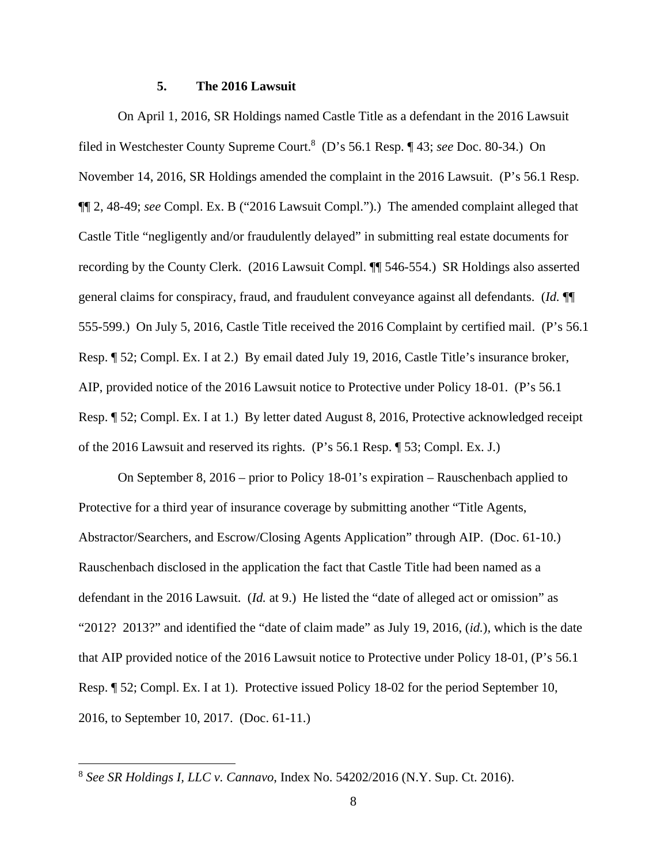### **5. The 2016 Lawsuit**

On April 1, 2016, SR Holdings named Castle Title as a defendant in the 2016 Lawsuit filed in Westchester County Supreme Court.<sup>8</sup> (D's 56.1 Resp. ¶ 43; *see* Doc. 80-34.) On November 14, 2016, SR Holdings amended the complaint in the 2016 Lawsuit. (P's 56.1 Resp. ¶¶ 2, 48-49; *see* Compl. Ex. B ("2016 Lawsuit Compl.").) The amended complaint alleged that Castle Title "negligently and/or fraudulently delayed" in submitting real estate documents for recording by the County Clerk. (2016 Lawsuit Compl. ¶¶ 546-554.) SR Holdings also asserted general claims for conspiracy, fraud, and fraudulent conveyance against all defendants. (*Id.* ¶¶ 555-599.) On July 5, 2016, Castle Title received the 2016 Complaint by certified mail. (P's 56.1 Resp. ¶ 52; Compl. Ex. I at 2.) By email dated July 19, 2016, Castle Title's insurance broker, AIP, provided notice of the 2016 Lawsuit notice to Protective under Policy 18-01. (P's 56.1 Resp. ¶ 52; Compl. Ex. I at 1.) By letter dated August 8, 2016, Protective acknowledged receipt of the 2016 Lawsuit and reserved its rights. (P's 56.1 Resp. ¶ 53; Compl. Ex. J.)

On September 8, 2016 – prior to Policy 18-01's expiration – Rauschenbach applied to Protective for a third year of insurance coverage by submitting another "Title Agents, Abstractor/Searchers, and Escrow/Closing Agents Application" through AIP. (Doc. 61-10.) Rauschenbach disclosed in the application the fact that Castle Title had been named as a defendant in the 2016 Lawsuit. (*Id.* at 9.) He listed the "date of alleged act or omission" as "2012? 2013?" and identified the "date of claim made" as July 19, 2016, (*id.*), which is the date that AIP provided notice of the 2016 Lawsuit notice to Protective under Policy 18-01, (P's 56.1 Resp. ¶ 52; Compl. Ex. I at 1). Protective issued Policy 18-02 for the period September 10, 2016, to September 10, 2017. (Doc. 61-11.)

<sup>8</sup> *See SR Holdings I, LLC v. Cannavo*, Index No. 54202/2016 (N.Y. Sup. Ct. 2016).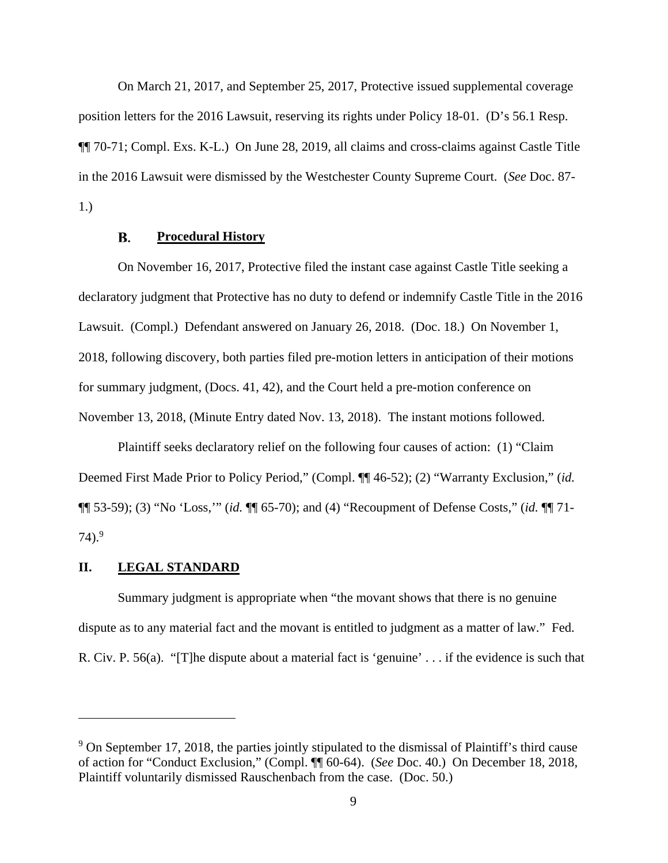On March 21, 2017, and September 25, 2017, Protective issued supplemental coverage position letters for the 2016 Lawsuit, reserving its rights under Policy 18-01. (D's 56.1 Resp. ¶¶ 70-71; Compl. Exs. K-L.) On June 28, 2019, all claims and cross-claims against Castle Title in the 2016 Lawsuit were dismissed by the Westchester County Supreme Court. (*See* Doc. 87- 1.)

#### В. **Procedural History**

On November 16, 2017, Protective filed the instant case against Castle Title seeking a declaratory judgment that Protective has no duty to defend or indemnify Castle Title in the 2016 Lawsuit. (Compl.) Defendant answered on January 26, 2018. (Doc. 18.) On November 1, 2018, following discovery, both parties filed pre-motion letters in anticipation of their motions for summary judgment, (Docs. 41, 42), and the Court held a pre-motion conference on November 13, 2018, (Minute Entry dated Nov. 13, 2018). The instant motions followed.

Plaintiff seeks declaratory relief on the following four causes of action: (1) "Claim Deemed First Made Prior to Policy Period," (Compl. ¶¶ 46-52); (2) "Warranty Exclusion," (*id.* ¶¶ 53-59); (3) "No 'Loss,'" (*id.* ¶¶ 65-70); and (4) "Recoupment of Defense Costs," (*id.* ¶¶ 71-  $74$ ).<sup>9</sup>

### **II. LEGAL STANDARD**

Summary judgment is appropriate when "the movant shows that there is no genuine dispute as to any material fact and the movant is entitled to judgment as a matter of law." Fed. R. Civ. P. 56(a). "[T]he dispute about a material fact is 'genuine' . . . if the evidence is such that

<sup>&</sup>lt;sup>9</sup> On September 17, 2018, the parties jointly stipulated to the dismissal of Plaintiff's third cause of action for "Conduct Exclusion," (Compl. ¶¶ 60-64). (*See* Doc. 40.) On December 18, 2018, Plaintiff voluntarily dismissed Rauschenbach from the case. (Doc. 50.)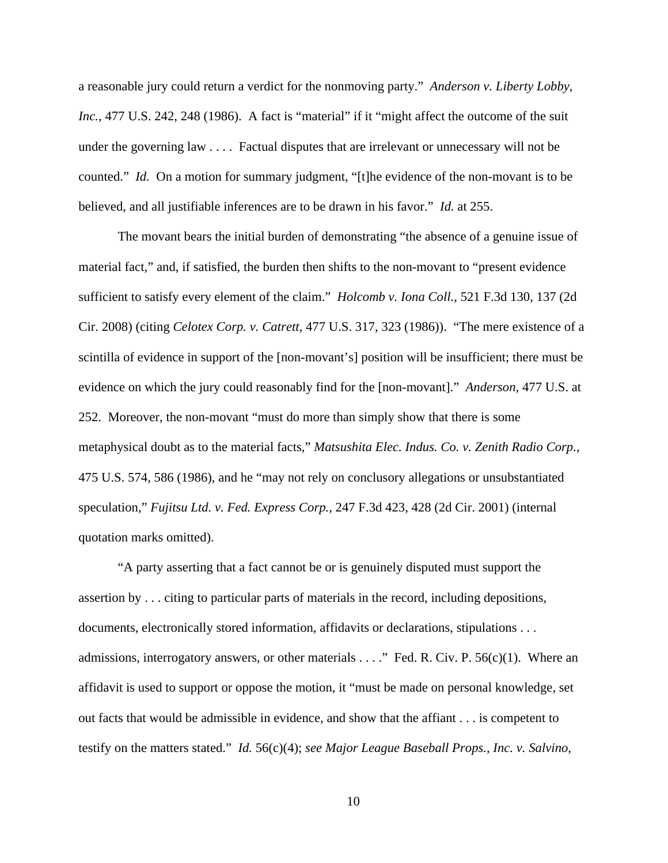a reasonable jury could return a verdict for the nonmoving party." *Anderson v. Liberty Lobby, Inc.*, 477 U.S. 242, 248 (1986). A fact is "material" if it "might affect the outcome of the suit under the governing law . . . . Factual disputes that are irrelevant or unnecessary will not be counted." *Id.* On a motion for summary judgment, "[t]he evidence of the non-movant is to be believed, and all justifiable inferences are to be drawn in his favor." *Id.* at 255.

The movant bears the initial burden of demonstrating "the absence of a genuine issue of material fact," and, if satisfied, the burden then shifts to the non-movant to "present evidence sufficient to satisfy every element of the claim." *Holcomb v. Iona Coll.*, 521 F.3d 130, 137 (2d Cir. 2008) (citing *Celotex Corp. v. Catrett*, 477 U.S. 317, 323 (1986)). "The mere existence of a scintilla of evidence in support of the [non-movant's] position will be insufficient; there must be evidence on which the jury could reasonably find for the [non-movant]." *Anderson*, 477 U.S. at 252. Moreover, the non-movant "must do more than simply show that there is some metaphysical doubt as to the material facts," *Matsushita Elec. Indus. Co. v. Zenith Radio Corp.*, 475 U.S. 574, 586 (1986), and he "may not rely on conclusory allegations or unsubstantiated speculation," *Fujitsu Ltd. v. Fed. Express Corp.*, 247 F.3d 423, 428 (2d Cir. 2001) (internal quotation marks omitted).

"A party asserting that a fact cannot be or is genuinely disputed must support the assertion by . . . citing to particular parts of materials in the record, including depositions, documents, electronically stored information, affidavits or declarations, stipulations . . . admissions, interrogatory answers, or other materials . . . ." Fed. R. Civ. P. 56(c)(1). Where an affidavit is used to support or oppose the motion, it "must be made on personal knowledge, set out facts that would be admissible in evidence, and show that the affiant . . . is competent to testify on the matters stated." *Id.* 56(c)(4); *see Major League Baseball Props., Inc. v. Salvino,* 

10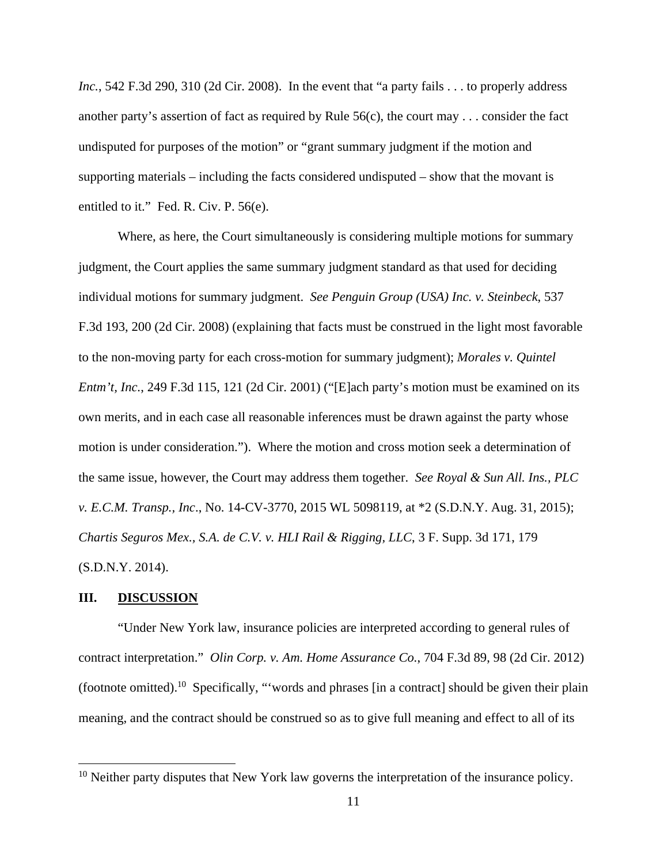*Inc.*, 542 F.3d 290, 310 (2d Cir. 2008). In the event that "a party fails . . . to properly address another party's assertion of fact as required by Rule 56(c), the court may . . . consider the fact undisputed for purposes of the motion" or "grant summary judgment if the motion and supporting materials – including the facts considered undisputed – show that the movant is entitled to it." Fed. R. Civ. P. 56(e).

Where, as here, the Court simultaneously is considering multiple motions for summary judgment, the Court applies the same summary judgment standard as that used for deciding individual motions for summary judgment. *See Penguin Group (USA) Inc. v. Steinbeck*, 537 F.3d 193, 200 (2d Cir. 2008) (explaining that facts must be construed in the light most favorable to the non-moving party for each cross-motion for summary judgment); *Morales v. Quintel Entm't, Inc.*, 249 F.3d 115, 121 (2d Cir. 2001) ("[E]ach party's motion must be examined on its own merits, and in each case all reasonable inferences must be drawn against the party whose motion is under consideration."). Where the motion and cross motion seek a determination of the same issue, however, the Court may address them together. *See Royal & Sun All. Ins., PLC v. E.C.M. Transp., Inc*., No. 14-CV-3770, 2015 WL 5098119, at \*2 (S.D.N.Y. Aug. 31, 2015); *Chartis Seguros Mex., S.A. de C.V. v. HLI Rail & Rigging, LLC*, 3 F. Supp. 3d 171, 179 (S.D.N.Y. 2014).

### **III. DISCUSSION**

"Under New York law, insurance policies are interpreted according to general rules of contract interpretation." *Olin Corp. v. Am. Home Assurance Co.*, 704 F.3d 89, 98 (2d Cir. 2012) (footnote omitted).<sup>10</sup> Specifically, "'words and phrases [in a contract] should be given their plain meaning, and the contract should be construed so as to give full meaning and effect to all of its

<sup>&</sup>lt;sup>10</sup> Neither party disputes that New York law governs the interpretation of the insurance policy.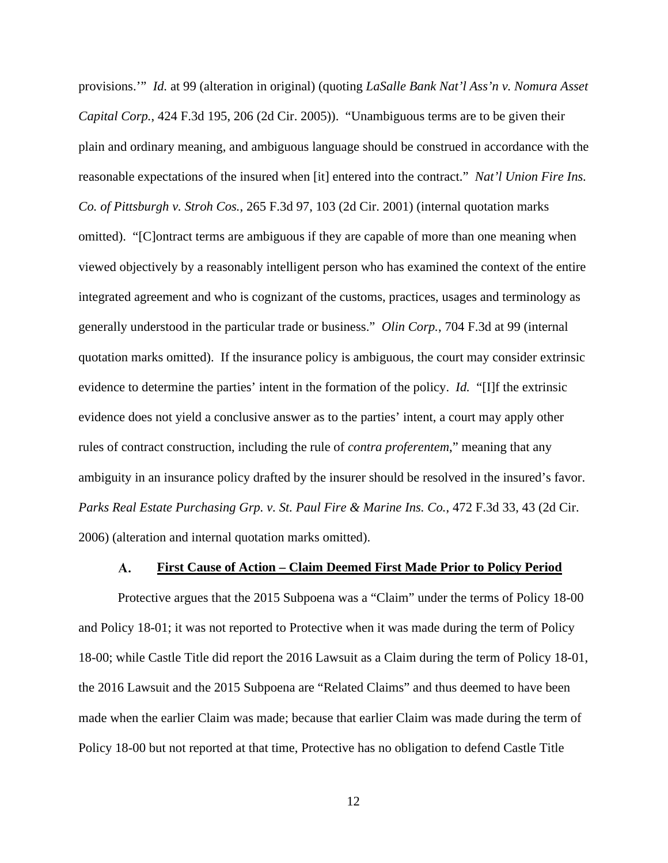provisions.'" *Id.* at 99 (alteration in original) (quoting *LaSalle Bank Nat'l Ass'n v. Nomura Asset Capital Corp.*, 424 F.3d 195, 206 (2d Cir. 2005)). "Unambiguous terms are to be given their plain and ordinary meaning, and ambiguous language should be construed in accordance with the reasonable expectations of the insured when [it] entered into the contract." *Nat'l Union Fire Ins. Co. of Pittsburgh v. Stroh Cos.*, 265 F.3d 97, 103 (2d Cir. 2001) (internal quotation marks omitted). "[C]ontract terms are ambiguous if they are capable of more than one meaning when viewed objectively by a reasonably intelligent person who has examined the context of the entire integrated agreement and who is cognizant of the customs, practices, usages and terminology as generally understood in the particular trade or business." *Olin Corp.*, 704 F.3d at 99 (internal quotation marks omitted). If the insurance policy is ambiguous, the court may consider extrinsic evidence to determine the parties' intent in the formation of the policy. *Id.* "[I]f the extrinsic evidence does not yield a conclusive answer as to the parties' intent, a court may apply other rules of contract construction, including the rule of *contra proferentem*," meaning that any ambiguity in an insurance policy drafted by the insurer should be resolved in the insured's favor. *Parks Real Estate Purchasing Grp. v. St. Paul Fire & Marine Ins. Co.*, 472 F.3d 33, 43 (2d Cir. 2006) (alteration and internal quotation marks omitted).

#### **First Cause of Action – Claim Deemed First Made Prior to Policy Period**  A.

Protective argues that the 2015 Subpoena was a "Claim" under the terms of Policy 18-00 and Policy 18-01; it was not reported to Protective when it was made during the term of Policy 18-00; while Castle Title did report the 2016 Lawsuit as a Claim during the term of Policy 18-01, the 2016 Lawsuit and the 2015 Subpoena are "Related Claims" and thus deemed to have been made when the earlier Claim was made; because that earlier Claim was made during the term of Policy 18-00 but not reported at that time, Protective has no obligation to defend Castle Title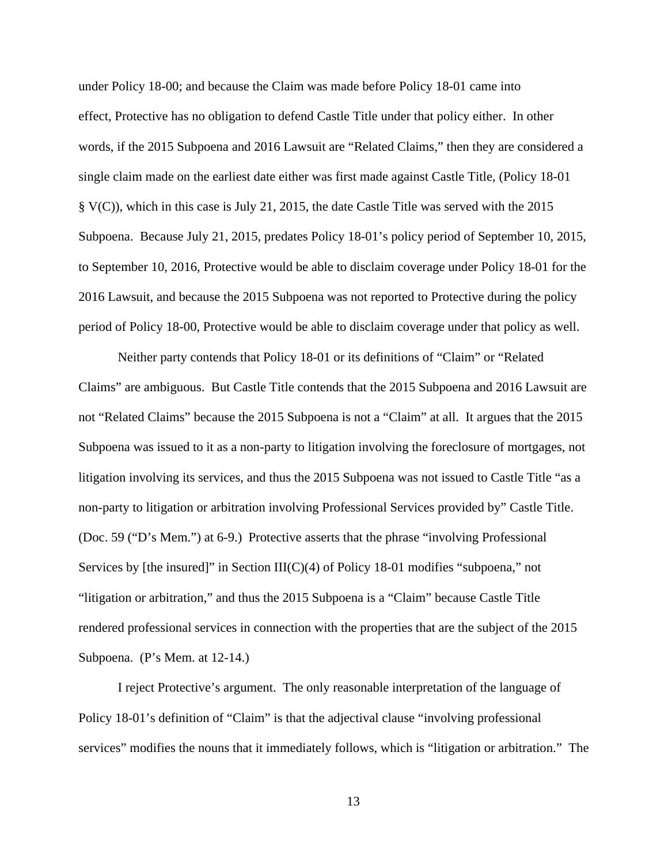under Policy 18-00; and because the Claim was made before Policy 18-01 came into effect, Protective has no obligation to defend Castle Title under that policy either. In other words, if the 2015 Subpoena and 2016 Lawsuit are "Related Claims," then they are considered a single claim made on the earliest date either was first made against Castle Title, (Policy 18-01 § V(C)), which in this case is July 21, 2015, the date Castle Title was served with the 2015 Subpoena. Because July 21, 2015, predates Policy 18-01's policy period of September 10, 2015, to September 10, 2016, Protective would be able to disclaim coverage under Policy 18-01 for the 2016 Lawsuit, and because the 2015 Subpoena was not reported to Protective during the policy period of Policy 18-00, Protective would be able to disclaim coverage under that policy as well.

Neither party contends that Policy 18-01 or its definitions of "Claim" or "Related Claims" are ambiguous. But Castle Title contends that the 2015 Subpoena and 2016 Lawsuit are not "Related Claims" because the 2015 Subpoena is not a "Claim" at all. It argues that the 2015 Subpoena was issued to it as a non-party to litigation involving the foreclosure of mortgages, not litigation involving its services, and thus the 2015 Subpoena was not issued to Castle Title "as a non-party to litigation or arbitration involving Professional Services provided by" Castle Title. (Doc. 59 ("D's Mem.") at 6-9.) Protective asserts that the phrase "involving Professional Services by [the insured]" in Section III(C)(4) of Policy 18-01 modifies "subpoena," not "litigation or arbitration," and thus the 2015 Subpoena is a "Claim" because Castle Title rendered professional services in connection with the properties that are the subject of the 2015 Subpoena. (P's Mem. at 12-14.)

I reject Protective's argument. The only reasonable interpretation of the language of Policy 18-01's definition of "Claim" is that the adjectival clause "involving professional services" modifies the nouns that it immediately follows, which is "litigation or arbitration." The

13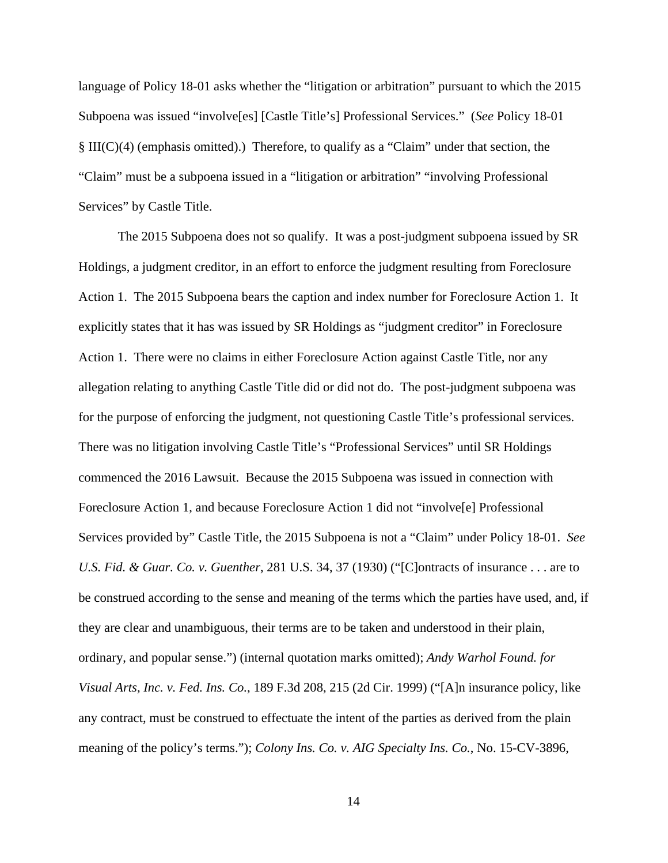language of Policy 18-01 asks whether the "litigation or arbitration" pursuant to which the 2015 Subpoena was issued "involve[es] [Castle Title's] Professional Services." (*See* Policy 18-01 § III(C)(4) (emphasis omitted).) Therefore, to qualify as a "Claim" under that section, the "Claim" must be a subpoena issued in a "litigation or arbitration" "involving Professional Services" by Castle Title.

The 2015 Subpoena does not so qualify. It was a post-judgment subpoena issued by SR Holdings, a judgment creditor, in an effort to enforce the judgment resulting from Foreclosure Action 1. The 2015 Subpoena bears the caption and index number for Foreclosure Action 1. It explicitly states that it has was issued by SR Holdings as "judgment creditor" in Foreclosure Action 1. There were no claims in either Foreclosure Action against Castle Title, nor any allegation relating to anything Castle Title did or did not do. The post-judgment subpoena was for the purpose of enforcing the judgment, not questioning Castle Title's professional services. There was no litigation involving Castle Title's "Professional Services" until SR Holdings commenced the 2016 Lawsuit. Because the 2015 Subpoena was issued in connection with Foreclosure Action 1, and because Foreclosure Action 1 did not "involve[e] Professional Services provided by" Castle Title, the 2015 Subpoena is not a "Claim" under Policy 18-01. *See U.S. Fid. & Guar. Co. v. Guenther*, 281 U.S. 34, 37 (1930) ("[C]ontracts of insurance . . . are to be construed according to the sense and meaning of the terms which the parties have used, and, if they are clear and unambiguous, their terms are to be taken and understood in their plain, ordinary, and popular sense.") (internal quotation marks omitted); *Andy Warhol Found. for Visual Arts, Inc. v. Fed. Ins. Co.*, 189 F.3d 208, 215 (2d Cir. 1999) ("[A]n insurance policy, like any contract, must be construed to effectuate the intent of the parties as derived from the plain meaning of the policy's terms."); *Colony Ins. Co. v. AIG Specialty Ins. Co.*, No. 15-CV-3896,

14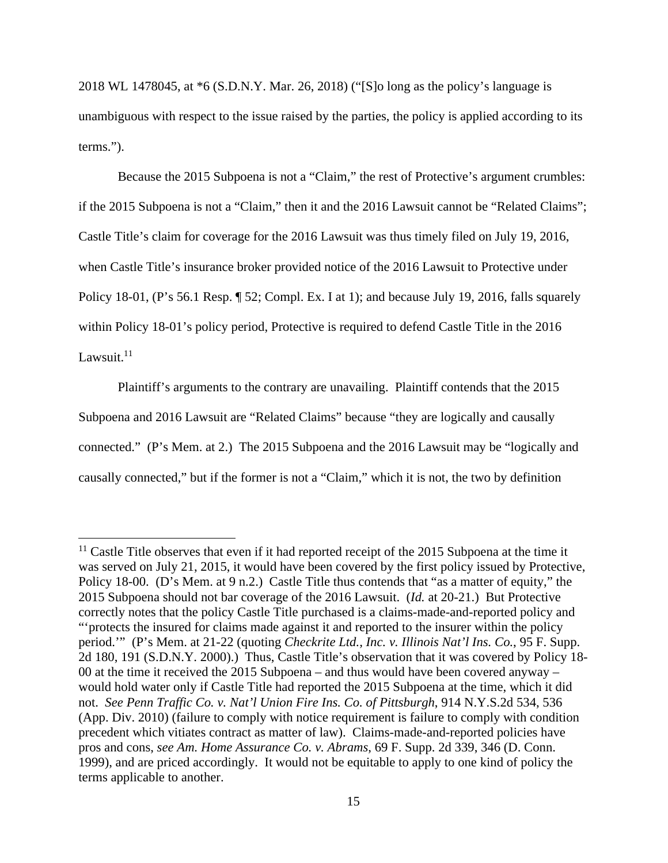2018 WL 1478045, at \*6 (S.D.N.Y. Mar. 26, 2018) ("[S]o long as the policy's language is unambiguous with respect to the issue raised by the parties, the policy is applied according to its terms.").

Because the 2015 Subpoena is not a "Claim," the rest of Protective's argument crumbles: if the 2015 Subpoena is not a "Claim," then it and the 2016 Lawsuit cannot be "Related Claims"; Castle Title's claim for coverage for the 2016 Lawsuit was thus timely filed on July 19, 2016, when Castle Title's insurance broker provided notice of the 2016 Lawsuit to Protective under Policy 18-01, (P's 56.1 Resp. ¶ 52; Compl. Ex. I at 1); and because July 19, 2016, falls squarely within Policy 18-01's policy period, Protective is required to defend Castle Title in the 2016 Lawsuit. $11$ 

Plaintiff's arguments to the contrary are unavailing. Plaintiff contends that the 2015 Subpoena and 2016 Lawsuit are "Related Claims" because "they are logically and causally connected." (P's Mem. at 2.) The 2015 Subpoena and the 2016 Lawsuit may be "logically and causally connected," but if the former is not a "Claim," which it is not, the two by definition

<sup>&</sup>lt;sup>11</sup> Castle Title observes that even if it had reported receipt of the 2015 Subpoena at the time it was served on July 21, 2015, it would have been covered by the first policy issued by Protective, Policy 18-00. (D's Mem. at 9 n.2.) Castle Title thus contends that "as a matter of equity," the 2015 Subpoena should not bar coverage of the 2016 Lawsuit. (*Id.* at 20-21.) But Protective correctly notes that the policy Castle Title purchased is a claims-made-and-reported policy and "'protects the insured for claims made against it and reported to the insurer within the policy period.'" (P's Mem. at 21-22 (quoting *Checkrite Ltd., Inc. v. Illinois Nat'l Ins. Co.*, 95 F. Supp. 2d 180, 191 (S.D.N.Y. 2000).) Thus, Castle Title's observation that it was covered by Policy 18- 00 at the time it received the 2015 Subpoena – and thus would have been covered anyway – would hold water only if Castle Title had reported the 2015 Subpoena at the time, which it did not. *See Penn Traffic Co. v. Nat'l Union Fire Ins. Co. of Pittsburgh*, 914 N.Y.S.2d 534, 536 (App. Div. 2010) (failure to comply with notice requirement is failure to comply with condition precedent which vitiates contract as matter of law). Claims-made-and-reported policies have pros and cons, *see Am. Home Assurance Co. v. Abrams*, 69 F. Supp. 2d 339, 346 (D. Conn. 1999), and are priced accordingly. It would not be equitable to apply to one kind of policy the terms applicable to another.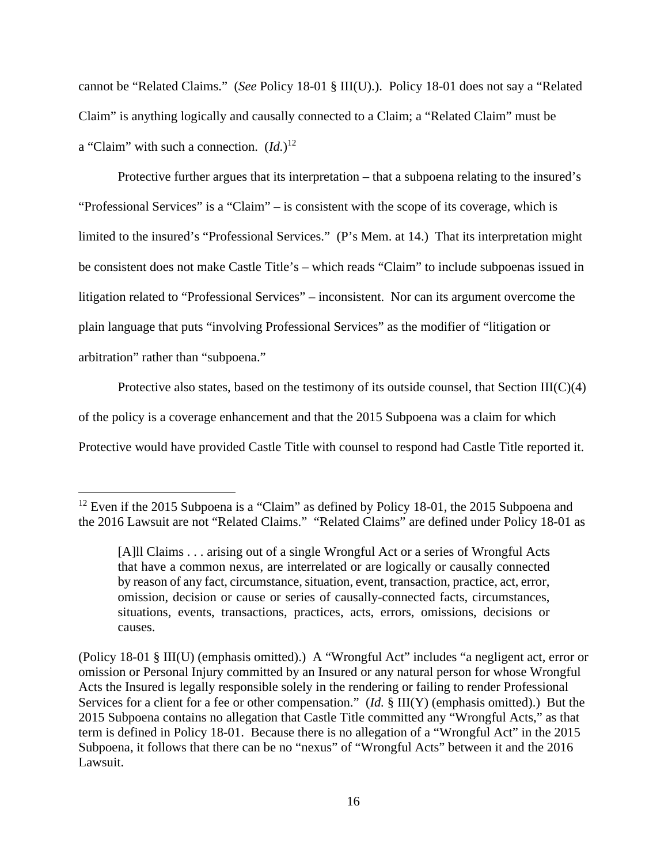cannot be "Related Claims." (*See* Policy 18-01 § III(U).). Policy 18-01 does not say a "Related Claim" is anything logically and causally connected to a Claim; a "Related Claim" must be a "Claim" with such a connection. (*Id.*) 12

Protective further argues that its interpretation – that a subpoena relating to the insured's "Professional Services" is a "Claim" – is consistent with the scope of its coverage, which is limited to the insured's "Professional Services." (P's Mem. at 14.) That its interpretation might be consistent does not make Castle Title's – which reads "Claim" to include subpoenas issued in litigation related to "Professional Services" – inconsistent. Nor can its argument overcome the plain language that puts "involving Professional Services" as the modifier of "litigation or arbitration" rather than "subpoena."

Protective also states, based on the testimony of its outside counsel, that Section  $III(C)(4)$ 

of the policy is a coverage enhancement and that the 2015 Subpoena was a claim for which

Protective would have provided Castle Title with counsel to respond had Castle Title reported it.

<sup>&</sup>lt;sup>12</sup> Even if the 2015 Subpoena is a "Claim" as defined by Policy 18-01, the 2015 Subpoena and the 2016 Lawsuit are not "Related Claims." "Related Claims" are defined under Policy 18-01 as

<sup>[</sup>A]ll Claims . . . arising out of a single Wrongful Act or a series of Wrongful Acts that have a common nexus, are interrelated or are logically or causally connected by reason of any fact, circumstance, situation, event, transaction, practice, act, error, omission, decision or cause or series of causally-connected facts, circumstances, situations, events, transactions, practices, acts, errors, omissions, decisions or causes.

<sup>(</sup>Policy 18-01 § III(U) (emphasis omitted).) A "Wrongful Act" includes "a negligent act, error or omission or Personal Injury committed by an Insured or any natural person for whose Wrongful Acts the Insured is legally responsible solely in the rendering or failing to render Professional Services for a client for a fee or other compensation." (*Id.* § III(Y) (emphasis omitted).) But the 2015 Subpoena contains no allegation that Castle Title committed any "Wrongful Acts," as that term is defined in Policy 18-01. Because there is no allegation of a "Wrongful Act" in the 2015 Subpoena, it follows that there can be no "nexus" of "Wrongful Acts" between it and the 2016 Lawsuit.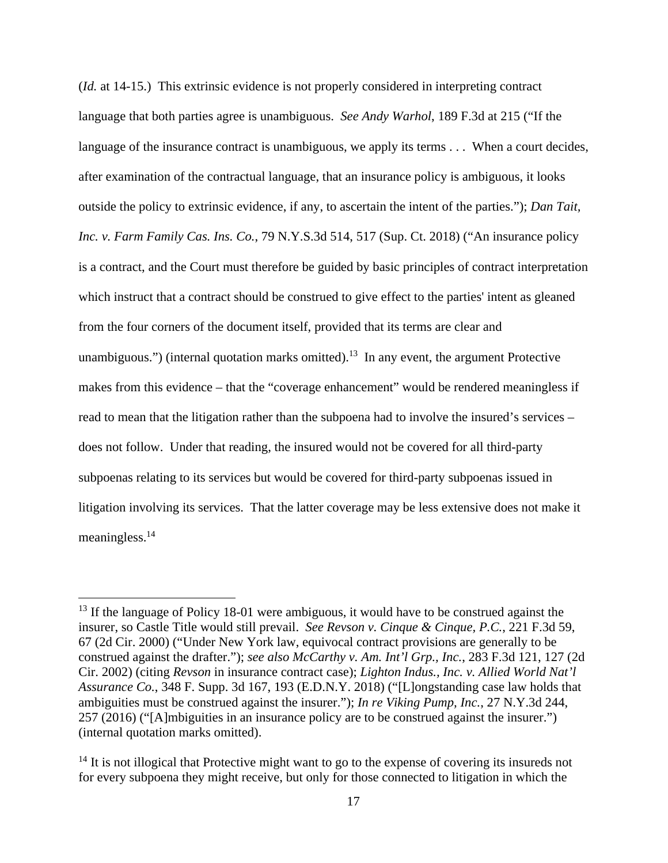(*Id.* at 14-15.) This extrinsic evidence is not properly considered in interpreting contract language that both parties agree is unambiguous. *See Andy Warhol*, 189 F.3d at 215 ("If the language of the insurance contract is unambiguous, we apply its terms . . . When a court decides, after examination of the contractual language, that an insurance policy is ambiguous, it looks outside the policy to extrinsic evidence, if any, to ascertain the intent of the parties."); *Dan Tait, Inc. v. Farm Family Cas. Ins. Co.*, 79 N.Y.S.3d 514, 517 (Sup. Ct. 2018) ("An insurance policy is a contract, and the Court must therefore be guided by basic principles of contract interpretation which instruct that a contract should be construed to give effect to the parties' intent as gleaned from the four corners of the document itself, provided that its terms are clear and unambiguous.") (internal quotation marks omitted).<sup>13</sup> In any event, the argument Protective makes from this evidence – that the "coverage enhancement" would be rendered meaningless if read to mean that the litigation rather than the subpoena had to involve the insured's services – does not follow. Under that reading, the insured would not be covered for all third-party subpoenas relating to its services but would be covered for third-party subpoenas issued in litigation involving its services. That the latter coverage may be less extensive does not make it meaningless.<sup>14</sup>

<sup>&</sup>lt;sup>13</sup> If the language of Policy 18-01 were ambiguous, it would have to be construed against the insurer, so Castle Title would still prevail. *See Revson v. Cinque & Cinque, P.C.*, 221 F.3d 59, 67 (2d Cir. 2000) ("Under New York law, equivocal contract provisions are generally to be construed against the drafter."); *see also McCarthy v. Am. Int'l Grp., Inc.*, 283 F.3d 121, 127 (2d Cir. 2002) (citing *Revson* in insurance contract case); *Lighton Indus., Inc. v. Allied World Nat'l Assurance Co.*, 348 F. Supp. 3d 167, 193 (E.D.N.Y. 2018) ("[L]ongstanding case law holds that ambiguities must be construed against the insurer."); *In re Viking Pump, Inc.*, 27 N.Y.3d 244, 257 (2016) ("[A]mbiguities in an insurance policy are to be construed against the insurer.") (internal quotation marks omitted).

<sup>&</sup>lt;sup>14</sup> It is not illogical that Protective might want to go to the expense of covering its insureds not for every subpoena they might receive, but only for those connected to litigation in which the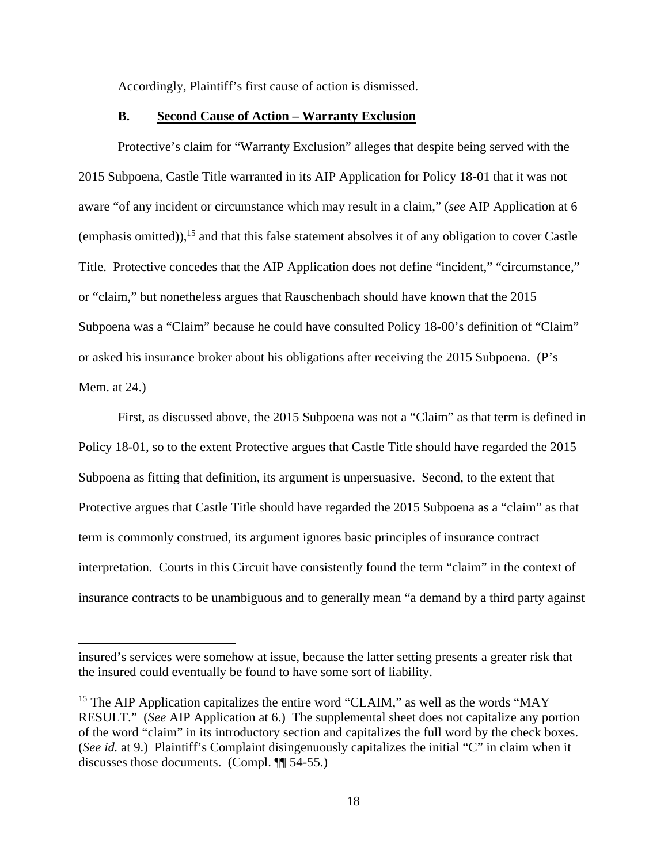Accordingly, Plaintiff's first cause of action is dismissed.

### **B. Second Cause of Action – Warranty Exclusion**

Protective's claim for "Warranty Exclusion" alleges that despite being served with the 2015 Subpoena, Castle Title warranted in its AIP Application for Policy 18-01 that it was not aware "of any incident or circumstance which may result in a claim," (*see* AIP Application at 6 (emphasis omitted)),  $^{15}$  and that this false statement absolves it of any obligation to cover Castle Title. Protective concedes that the AIP Application does not define "incident," "circumstance," or "claim," but nonetheless argues that Rauschenbach should have known that the 2015 Subpoena was a "Claim" because he could have consulted Policy 18-00's definition of "Claim" or asked his insurance broker about his obligations after receiving the 2015 Subpoena. (P's Mem. at 24.)

First, as discussed above, the 2015 Subpoena was not a "Claim" as that term is defined in Policy 18-01, so to the extent Protective argues that Castle Title should have regarded the 2015 Subpoena as fitting that definition, its argument is unpersuasive. Second, to the extent that Protective argues that Castle Title should have regarded the 2015 Subpoena as a "claim" as that term is commonly construed, its argument ignores basic principles of insurance contract interpretation. Courts in this Circuit have consistently found the term "claim" in the context of insurance contracts to be unambiguous and to generally mean "a demand by a third party against

insured's services were somehow at issue, because the latter setting presents a greater risk that the insured could eventually be found to have some sort of liability.

<sup>&</sup>lt;sup>15</sup> The AIP Application capitalizes the entire word "CLAIM," as well as the words "MAY RESULT." (*See* AIP Application at 6.) The supplemental sheet does not capitalize any portion of the word "claim" in its introductory section and capitalizes the full word by the check boxes. (*See id.* at 9.) Plaintiff's Complaint disingenuously capitalizes the initial "C" in claim when it discusses those documents. (Compl. ¶¶ 54-55.)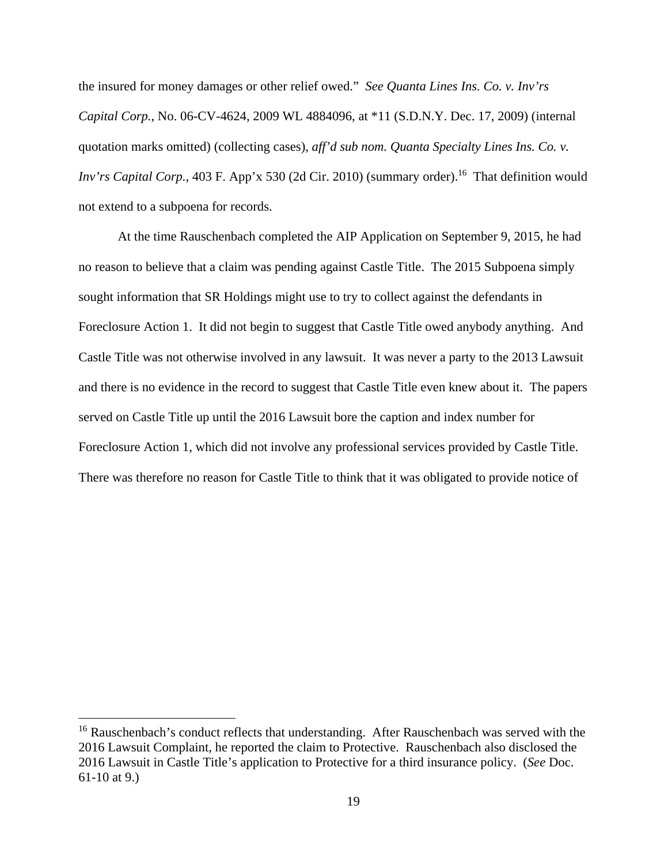the insured for money damages or other relief owed." *See Quanta Lines Ins. Co. v. Inv'rs Capital Corp.*, No. 06-CV-4624, 2009 WL 4884096, at \*11 (S.D.N.Y. Dec. 17, 2009) (internal quotation marks omitted) (collecting cases), *aff'd sub nom. Quanta Specialty Lines Ins. Co. v. Inv'rs Capital Corp.*, 403 F. App'x 530 (2d Cir. 2010) (summary order).<sup>16</sup> That definition would not extend to a subpoena for records.

At the time Rauschenbach completed the AIP Application on September 9, 2015, he had no reason to believe that a claim was pending against Castle Title. The 2015 Subpoena simply sought information that SR Holdings might use to try to collect against the defendants in Foreclosure Action 1. It did not begin to suggest that Castle Title owed anybody anything. And Castle Title was not otherwise involved in any lawsuit. It was never a party to the 2013 Lawsuit and there is no evidence in the record to suggest that Castle Title even knew about it. The papers served on Castle Title up until the 2016 Lawsuit bore the caption and index number for Foreclosure Action 1, which did not involve any professional services provided by Castle Title. There was therefore no reason for Castle Title to think that it was obligated to provide notice of

 $16$  Rauschenbach's conduct reflects that understanding. After Rauschenbach was served with the 2016 Lawsuit Complaint, he reported the claim to Protective. Rauschenbach also disclosed the 2016 Lawsuit in Castle Title's application to Protective for a third insurance policy. (*See* Doc. 61-10 at 9.)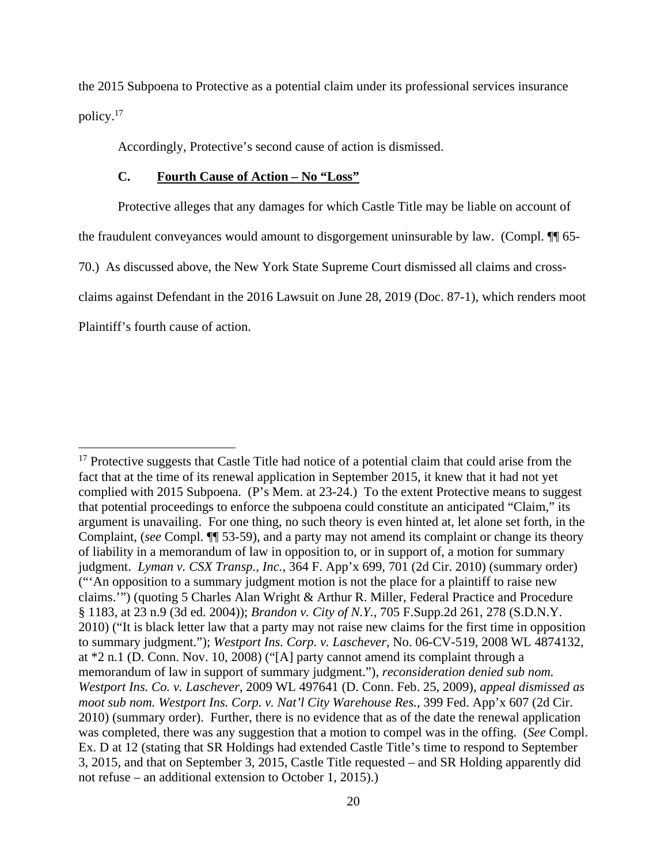the 2015 Subpoena to Protective as a potential claim under its professional services insurance policy.<sup>17</sup>

Accordingly, Protective's second cause of action is dismissed.

## **C. Fourth Cause of Action – No "Loss"**

Protective alleges that any damages for which Castle Title may be liable on account of

the fraudulent conveyances would amount to disgorgement uninsurable by law. (Compl. ¶¶ 65-

70.) As discussed above, the New York State Supreme Court dismissed all claims and cross-

claims against Defendant in the 2016 Lawsuit on June 28, 2019 (Doc. 87-1), which renders moot

Plaintiff's fourth cause of action.

<sup>&</sup>lt;sup>17</sup> Protective suggests that Castle Title had notice of a potential claim that could arise from the fact that at the time of its renewal application in September 2015, it knew that it had not yet complied with 2015 Subpoena. (P's Mem. at 23-24.) To the extent Protective means to suggest that potential proceedings to enforce the subpoena could constitute an anticipated "Claim," its argument is unavailing. For one thing, no such theory is even hinted at, let alone set forth, in the Complaint, (*see* Compl. ¶¶ 53-59), and a party may not amend its complaint or change its theory of liability in a memorandum of law in opposition to, or in support of, a motion for summary judgment. *Lyman v. CSX Transp., Inc.*, 364 F. App'x 699, 701 (2d Cir. 2010) (summary order) ("'An opposition to a summary judgment motion is not the place for a plaintiff to raise new claims.'") (quoting 5 Charles Alan Wright & Arthur R. Miller, Federal Practice and Procedure § 1183, at 23 n.9 (3d ed. 2004)); *Brandon v. City of N.Y.*, 705 F.Supp.2d 261, 278 (S.D.N.Y. 2010) ("It is black letter law that a party may not raise new claims for the first time in opposition to summary judgment."); *Westport Ins. Corp. v. Laschever*, No. 06-CV-519, 2008 WL 4874132, at \*2 n.1 (D. Conn. Nov. 10, 2008) ("[A] party cannot amend its complaint through a memorandum of law in support of summary judgment."), *reconsideration denied sub nom. Westport Ins. Co. v. Laschever*, 2009 WL 497641 (D. Conn. Feb. 25, 2009), *appeal dismissed as moot sub nom. Westport Ins. Corp. v. Nat'l City Warehouse Res.*, 399 Fed. App'x 607 (2d Cir. 2010) (summary order). Further, there is no evidence that as of the date the renewal application was completed, there was any suggestion that a motion to compel was in the offing. (*See* Compl. Ex. D at 12 (stating that SR Holdings had extended Castle Title's time to respond to September 3, 2015, and that on September 3, 2015, Castle Title requested – and SR Holding apparently did not refuse – an additional extension to October 1, 2015).)